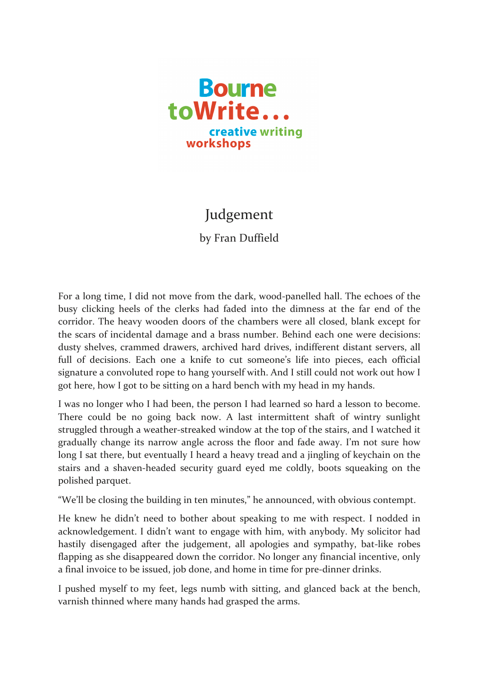

## Judgement

by Fran Duffield

For a long time, I did not move from the dark, wood-panelled hall. The echoes of the busy clicking heels of the clerks had faded into the dimness at the far end of the corridor. The heavy wooden doors of the chambers were all closed, blank except for the scars of incidental damage and a brass number. Behind each one were decisions: dusty shelves, crammed drawers, archived hard drives, indifferent distant servers, all full of decisions. Each one a knife to cut someone's life into pieces, each official signature a convoluted rope to hang yourself with. And I still could not work out how I got here, how I got to be sitting on a hard bench with my head in my hands.

I was no longer who I had been, the person I had learned so hard a lesson to become. There could be no going back now. A last intermittent shaft of wintry sunlight struggled through a weather-streaked window at the top of the stairs, and I watched it gradually change its narrow angle across the floor and fade away. I'm not sure how long I sat there, but eventually I heard a heavy tread and a jingling of keychain on the stairs and a shaven-headed security guard eyed me coldly, boots squeaking on the polished parquet.

"We'll be closing the building in ten minutes," he announced, with obvious contempt.

He knew he didn't need to bother about speaking to me with respect. I nodded in acknowledgement. I didn't want to engage with him, with anybody. My solicitor had hastily disengaged after the judgement, all apologies and sympathy, bat-like robes flapping as she disappeared down the corridor. No longer any financial incentive, only a final invoice to be issued, job done, and home in time for pre-dinner drinks.

I pushed myself to my feet, legs numb with sitting, and glanced back at the bench, varnish thinned where many hands had grasped the arms.